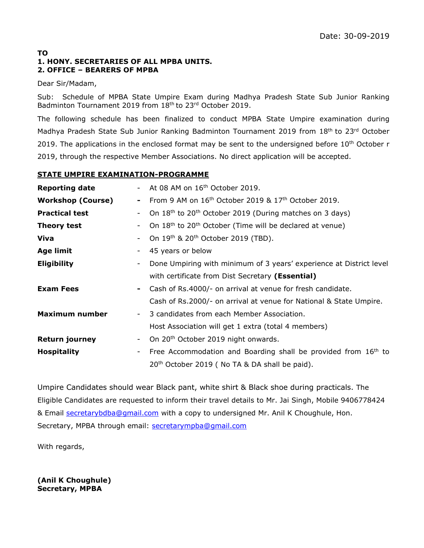#### **TO 1. HONY. SECRETARIES OF ALL MPBA UNITS. 2. OFFICE – BEARERS OF MPBA**

#### Dear Sir/Madam,

Sub: Schedule of MPBA State Umpire Exam during Madhya Pradesh State Sub Junior Ranking Badminton Tournament 2019 from 18<sup>th</sup> to 23<sup>rd</sup> October 2019.

The following schedule has been finalized to conduct MPBA State Umpire examination during Madhya Pradesh State Sub Junior Ranking Badminton Tournament 2019 from 18<sup>th</sup> to 23<sup>rd</sup> October 2019. The applications in the enclosed format may be sent to the undersigned before  $10^{th}$  October r 2019, through the respective Member Associations. No direct application will be accepted.

### **STATE UMPIRE EXAMINATION-PROGRAMME**

| <b>Reporting date</b>                             |                          | At 08 AM on 16 <sup>th</sup> October 2019.                                       |  |  |  |
|---------------------------------------------------|--------------------------|----------------------------------------------------------------------------------|--|--|--|
| <b>Workshop (Course)</b>                          | ۰                        | From 9 AM on 16 <sup>th</sup> October 2019 & 17 <sup>th</sup> October 2019.      |  |  |  |
| <b>Practical test</b><br>$\overline{\phantom{a}}$ |                          | On 18 <sup>th</sup> to 20 <sup>th</sup> October 2019 (During matches on 3 days)  |  |  |  |
| <b>Theory test</b><br>$\overline{\phantom{a}}$    |                          | On 18 <sup>th</sup> to 20 <sup>th</sup> October (Time will be declared at venue) |  |  |  |
| Viva                                              | $\overline{\phantom{a}}$ | On 19 <sup>th</sup> & 20 <sup>th</sup> October 2019 (TBD).                       |  |  |  |
| <b>Age limit</b>                                  | $\overline{\phantom{a}}$ | 45 years or below                                                                |  |  |  |
| <b>Eligibility</b>                                |                          | Done Umpiring with minimum of 3 years' experience at District level              |  |  |  |
|                                                   |                          | with certificate from Dist Secretary (Essential)                                 |  |  |  |
| <b>Exam Fees</b>                                  | $\sim$                   | Cash of Rs.4000/- on arrival at venue for fresh candidate.                       |  |  |  |
|                                                   |                          | Cash of Rs.2000/- on arrival at venue for National & State Umpire.               |  |  |  |
| Maximum number                                    |                          | 3 candidates from each Member Association.<br>$\sim$ 100 $\mu$                   |  |  |  |
|                                                   |                          | Host Association will get 1 extra (total 4 members)                              |  |  |  |
| <b>Return journey</b>                             | $\sim$                   | On 20 <sup>th</sup> October 2019 night onwards.                                  |  |  |  |
| <b>Hospitality</b>                                | $\overline{\phantom{a}}$ | Free Accommodation and Boarding shall be provided from $16th$ to                 |  |  |  |
|                                                   |                          | 20 <sup>th</sup> October 2019 (No TA & DA shall be paid).                        |  |  |  |

Umpire Candidates should wear Black pant, white shirt & Black shoe during practicals. The Eligible Candidates are requested to inform their travel details to Mr. Jai Singh, Mobile 9406778424 & Email [secretarybdba@gmail.com](mailto:secretarybdba@gmail.com) with a copy to undersigned Mr. Anil K Choughule, Hon. Secretary, MPBA through email: [secretarympba@gmail.com](mailto:secretarympba@gmail.com)

With regards,

**(Anil K Choughule) Secretary, MPBA**